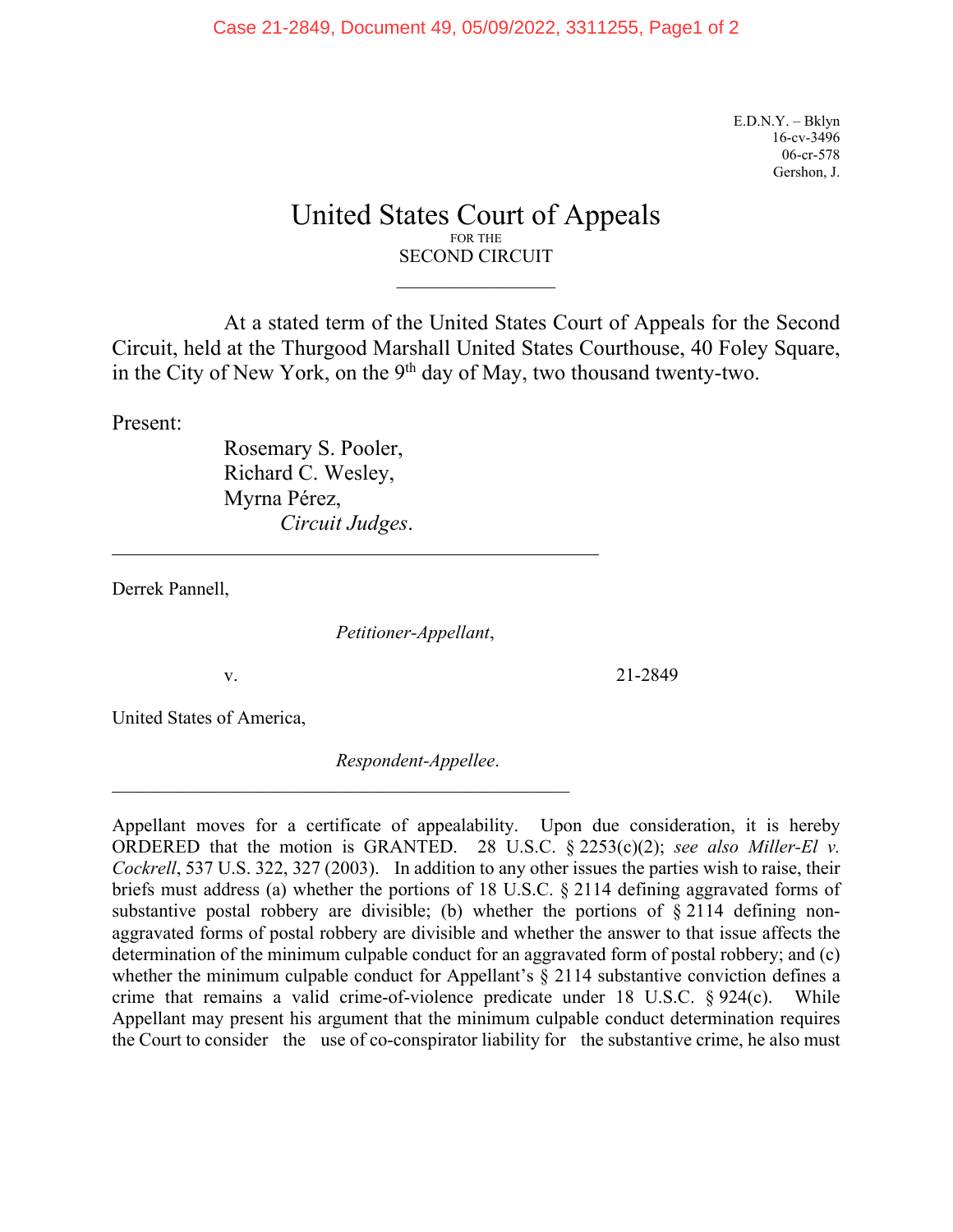E.D.N.Y. – Bklyn 16-cv-3496 06-cr-578 Gershon, J.

## United States Court of Appeals FOR THE SECOND CIRCUIT

At a stated term of the United States Court of Appeals for the Second Circuit, held at the Thurgood Marshall United States Courthouse, 40 Foley Square, in the City of New York, on the  $9<sup>th</sup>$  day of May, two thousand twenty-two.

Present:

 $\overline{a}$ 

Rosemary S. Pooler, Richard C. Wesley, Myrna Pérez, *Circuit Judges*.

\_\_\_\_\_\_\_\_\_\_\_\_\_\_\_\_\_\_\_\_\_\_\_\_\_\_\_\_\_\_\_\_\_\_\_\_\_\_\_\_\_\_\_\_\_\_\_\_\_

Derrek Pannell,

*Petitioner-Appellant*,

v. 21-2849

United States of America,

*Respondent-Appellee*.

Appellant moves for a certificate of appealability. Upon due consideration, it is hereby ORDERED that the motion is GRANTED. 28 U.S.C. § 2253(c)(2); *see also Miller-El v. Cockrell*, 537 U.S. 322, 327 (2003). In addition to any other issues the parties wish to raise, their briefs must address (a) whether the portions of 18 U.S.C. § 2114 defining aggravated forms of substantive postal robbery are divisible; (b) whether the portions of  $\S$  2114 defining nonaggravated forms of postal robbery are divisible and whether the answer to that issue affects the determination of the minimum culpable conduct for an aggravated form of postal robbery; and (c) whether the minimum culpable conduct for Appellant's § 2114 substantive conviction defines a crime that remains a valid crime-of-violence predicate under 18 U.S.C. § 924(c). While Appellant may present his argument that the minimum culpable conduct determination requires the Court to consider the use of co-conspirator liability for the substantive crime, he also must